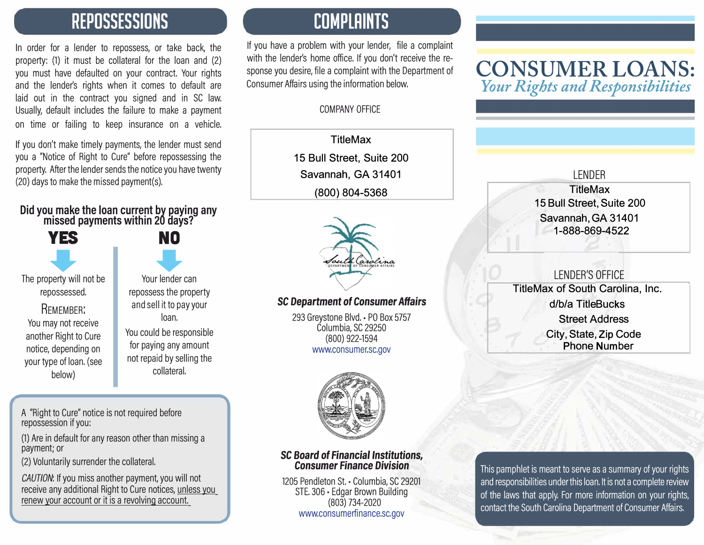### **REPOSSESSIONS**

In order for a lender to repossess, or take back, the property: (1) it must be collateral for the loan and (2) you must have defaulted on your contract. Your rights and the lender's rights when it comes to default are laid out in the contract you signed and in SC law, Usually, default includes the failure to make a payment on time or failing to keep insurance on a vehicle.

If you don't make timely payments, the lender must send you a "Notice of Right to Cure" before repossessing the property, After the lender sends the notice you have twenty (20) days to make the missed payment(s),

#### **Did you make the loan current by paying any**  missed payments within 20 days?

**YES NO** 

**YES** NO<br>
NO<br>
berty will not be Your lender can The property will not be repossessed.

REMEMBER: You may not receive another Right to Cure notice, depending on your type of loan. (see below)

Your lender can repossess the property and sell it to pay your loan.

You could be responsible for paying any amount not repaid by selling the collateral.

A "Right to Cure" notice is not required before repossession if you:

(1) Are in default for any reason other than missing a payment; or

(2) Voluntarily surrender the collateral.

*CAUTION:* If you miss another payment, you will not receive any additional Right to Cure notices, unless you renew your account or it is a revolving account

### **COMPLAINTS**

If you have a problem with your lender, file a complaint with the lender's home office. If you don't receive the response you desire, file a complaint with the Department of Consumer Affairs using the information below.

#### COMPANY OFFICE

**TitleMax 15 Bull Street, Suite 200 Savannah, GA 31401 (800) 804-5368**



### SC *Department* of Consumer Affairs

293 Greystone Blvd. • PO Box 5757 Columbia, SC 29250 (800) 922-1594 www.consumer.sc.gov



#### SC *Board* of *Financial Institutions,*  Consumer Finance *Division*

1205 Pendleton St. - Columbia, SC 29201 STE. 306 • Edgar Brown Building (803) 734-2020 www.consumerfinance.sc.gov

### **CONSUMER LOANS:**  *Your Rights and Responsibilities*

#### LENDER **TitleMax 15 Bull Street, Suite 200 Savannah, GA 31401 1-888-869-4522**

### LENDER'S ---------, OFFICE

**TitleMax of South Carolina, Inc. d/b/a TitleBucks Street Address City, State, Zip Code Phone Number** 

This pamphlet is meant to serve as a summary of your rights and responsibilities under this loan. It is not a complete review of the laws that apply. For more information on your rights, contact the South Carolina Department of Consumer Affairs.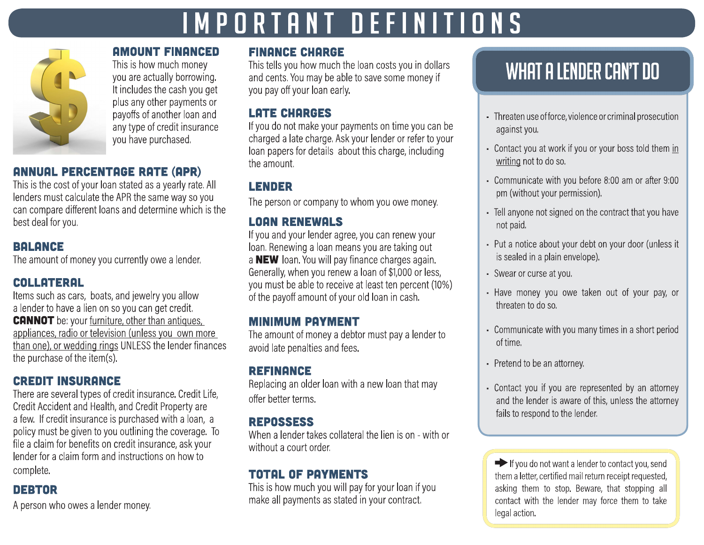# IMPORTANT DEFINITIONS



**AMOUNT FINANCED** This is how much money you are actually borrowing. It includes the cash you get plus any other payments or payoffs of another loan and any type of credit insurance you have purchased.

### **ANNUAL PERCENTAGE RATE (APR)**

This is the cost of your loan stated as a yearly rate. All lenders must calculate the APR the same way so you can compare different loans and determine which is the best deal for you.

### **BALANCE**

The amount of money you currently owe a lender.

### **COLLATERAL**

Items such as cars, boats, and jewelry you allow a lender to have a lien on so you can get credit. **CANNOT** be: your furniture, other than antiques, appliances, radio or television (unless you own more than one), or wedding rings UNLESS the lender finances the purchase of the item(s).

### **CREDIT INSURANCE**

There are several types of credit insurance. Credit Life, Credit Accident and Health, and Credit Property are a few. If credit insurance is purchased with a loan, a policy must be given to you outlining the coverage. To file a claim for benefits on credit insurance, ask your lender for a claim form and instructions on how to complete.

### **DEBTOR**

A person who owes a lender money.

### **FINANCE CHARGE**

This tells you how much the loan costs you in dollars and cents. You may be able to save some money if you pay off your loan early.

### **LATE CHARGES**

If you do not make your payments on time you can be charged a late charge. Ask your lender or refer to your loan papers for details about this charge, including the amount.

### **LENDER**

The person or company to whom you owe money.

### **LOAN RENEWALS**

If you and your lender agree, you can renew your loan. Renewing a loan means you are taking out a NEW loan. You will pay finance charges again. Generally, when you renew a loan of \$1,000 or less, you must be able to receive at least ten percent (10%) of the payoff amount of your old loan in cash.

### **MINIMUM PAYMENT**

The amount of money a debtor must pay a lender to avoid late penalties and fees.

### **REFINANCE**

Replacing an older loan with a new loan that may offer better terms.

### **REPOSSESS**

When a lender takes collateral the lien is on - with or without a court order.

### **TOTAL OF PAYMENTS**

This is how much you will pay for your loan if you make all payments as stated in your contract.

## WHAT A LENDER CAN'T DO

- Threaten use of force, violence or criminal prosecution against you.
- Contact you at work if you or your boss told them in writing not to do so.
- Communicate with you before 8:00 am or after 9:00 pm (without your permission).
- Tell anyone not signed on the contract that you have not paid.
- Put a notice about your debt on your door (unless it is sealed in a plain envelope).
- · Swear or curse at you.
- Have money you owe taken out of your pay, or threaten to do so.
- Communicate with you many times in a short period of time.
- Pretend to be an attorney.
- Contact you if you are represented by an attorney and the lender is aware of this, unless the attorney fails to respond to the lender.

 $\blacktriangleright$  If you do not want a lender to contact you, send them a letter, certified mail return receipt requested, asking them to stop. Beware, that stopping all contact with the lender may force them to take legal action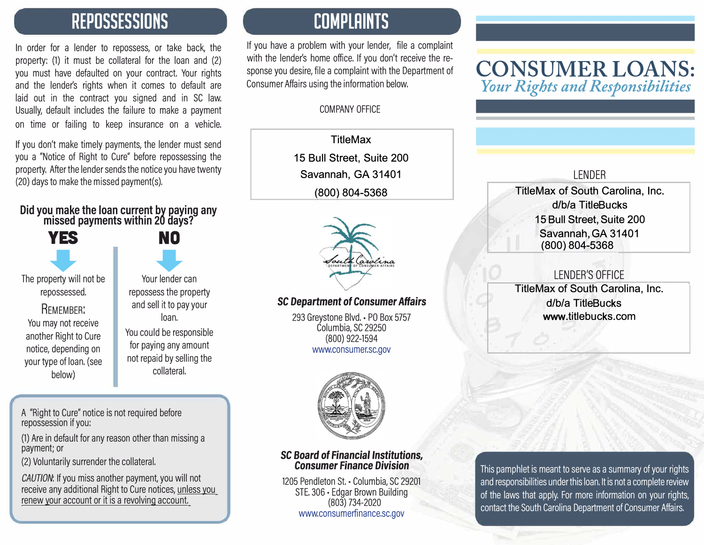### **REPOSSESSIONS**

In order for a lender to repossess, or take back, the property: (1) it must be collateral for the loan and (2) you must have defaulted on your contract. Your rights and the lender's rights when it comes to default are laid out in the contract you signed and in SC law, Usually, default includes the failure to make a payment on time or failing to keep insurance on a vehicle.

If you don't make timely payments, the lender must send you a "Notice of Right to Cure" before repossessing the property, After the lender sends the notice you have twenty (20) days to make the missed payment(s),

#### **Did you make the loan current by paying any**  missed payments within 20 days?

**YES NO** 

**YES** NO<br>
NO<br>
berty will not be Your lender can The property will not be repossessed.

REMEMBER: You may not receive another Right to Cure notice, depending on your type of loan. (see below)

Your lender can repossess the property and sell it to pay your loan. You could be responsible

for paying any amount not repaid by selling the collateral.

A "Right to Cure" notice is not required before repossession if you:

(1) Are in default for any reason other than missing a payment; or

(2) Voluntarily surrender the collateral.

*CAUTION:* If you miss another payment, you will not receive any additional Right to Cure notices, unless you renew your account or it is a revolving account

### **COMPLAINTS**

If you have a problem with your lender, file a complaint with the lender's home office. If you don't receive the response you desire, file a complaint with the Department of Consumer Affairs using the information below.

#### COMPANY OFFICE

**TitleMax 15 Bull Street, Suite 200 Savannah, GA 31401 (800) 804-5368**



### SC *Department* of Consumer Affairs

293 Greystone Blvd. • PO Box 5757 Columbia, SC 29250 (800) 922-1594 www.consumer.sc.gov



#### SC *Board* of *Financial Institutions,*  Consumer Finance *Division*

1205 Pendleton St. - Columbia, SC 29201 STE. 306 • Edgar Brown Building (803) 734-2020 www.consumerfinance.sc.gov

### **CONSUMER LOANS:**  *Your Rights and Responsibilities*

### LENDER

**TitleMax of South Carolina, Inc. d/b/a TitleBucks 15 Bull Street, Suite 200 Savannah, GA 31401 (800) 804-5368**

### LENDER'S OFFICE<br>Care the Osmating - the Correlian

 **TitleMax of South Carolina, Inc. d/b/a TitleBucks www.titlebucks.com**

This pamphlet is meant to serve as a summary of your rights and responsibilities under this loan. It is not a complete review of the laws that apply. For more information on your rights, contact the South Carolina Department of Consumer Affairs.